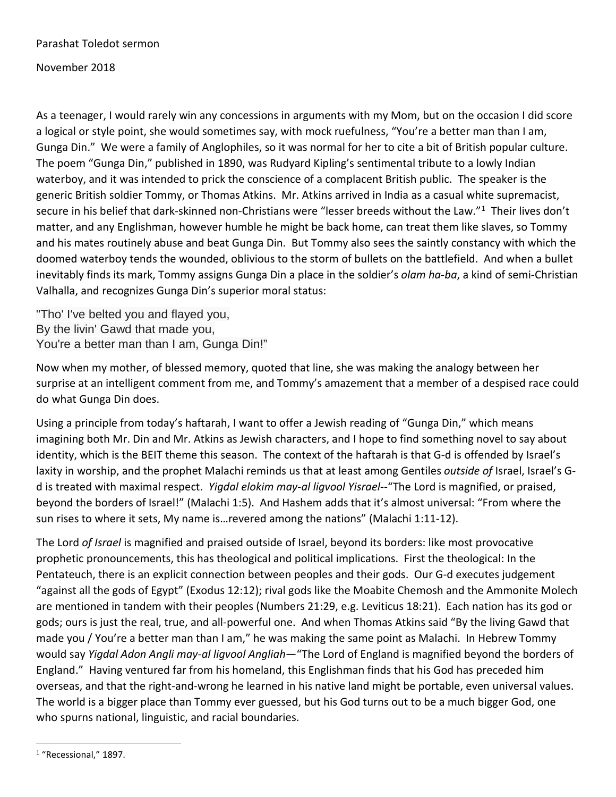Parashat Toledot sermon

November 2018

As a teenager, I would rarely win any concessions in arguments with my Mom, but on the occasion I did score a logical or style point, she would sometimes say, with mock ruefulness, "You're a better man than I am, Gunga Din." We were a family of Anglophiles, so it was normal for her to cite a bit of British popular culture. The poem "Gunga Din," published in 1890, was Rudyard Kipling's sentimental tribute to a lowly Indian waterboy, and it was intended to prick the conscience of a complacent British public. The speaker is the generic British soldier Tommy, or Thomas Atkins. Mr. Atkins arrived in India as a casual white supremacist, secure in his belief that dark-skinned non-Christians were "lesser breeds without the Law."[1](#page-0-0) Their lives don't matter, and any Englishman, however humble he might be back home, can treat them like slaves, so Tommy and his mates routinely abuse and beat Gunga Din. But Tommy also sees the saintly constancy with which the doomed waterboy tends the wounded, oblivious to the storm of bullets on the battlefield. And when a bullet inevitably finds its mark, Tommy assigns Gunga Din a place in the soldier's *olam ha-ba*, a kind of semi-Christian Valhalla, and recognizes Gunga Din's superior moral status:

"Tho' I've belted you and flayed you, By the livin' Gawd that made you, You're a better man than I am, Gunga Din!"

Now when my mother, of blessed memory, quoted that line, she was making the analogy between her surprise at an intelligent comment from me, and Tommy's amazement that a member of a despised race could do what Gunga Din does.

Using a principle from today's haftarah, I want to offer a Jewish reading of "Gunga Din," which means imagining both Mr. Din and Mr. Atkins as Jewish characters, and I hope to find something novel to say about identity, which is the BEIT theme this season. The context of the haftarah is that G-d is offended by Israel's laxity in worship, and the prophet Malachi reminds us that at least among Gentiles *outside of* Israel, Israel's Gd is treated with maximal respect. *Yigdal elokim may-al ligvool Yisrael*--"The Lord is magnified, or praised, beyond the borders of Israel!" (Malachi 1:5). And Hashem adds that it's almost universal: "From where the sun rises to where it sets, My name is…revered among the nations" (Malachi 1:11-12).

The Lord *of Israel* is magnified and praised outside of Israel, beyond its borders: like most provocative prophetic pronouncements, this has theological and political implications. First the theological: In the Pentateuch, there is an explicit connection between peoples and their gods. Our G-d executes judgement "against all the gods of Egypt" (Exodus 12:12); rival gods like the Moabite Chemosh and the Ammonite Molech are mentioned in tandem with their peoples (Numbers 21:29, e.g. Leviticus 18:21). Each nation has its god or gods; ours is just the real, true, and all-powerful one. And when Thomas Atkins said "By the living Gawd that made you / You're a better man than I am," he was making the same point as Malachi. In Hebrew Tommy would say *Yigdal Adon Angli may-al ligvool Angliah*—"The Lord of England is magnified beyond the borders of England." Having ventured far from his homeland, this Englishman finds that his God has preceded him overseas, and that the right-and-wrong he learned in his native land might be portable, even universal values. The world is a bigger place than Tommy ever guessed, but his God turns out to be a much bigger God, one who spurns national, linguistic, and racial boundaries.

<span id="page-0-0"></span> <sup>1</sup> "Recessional," 1897.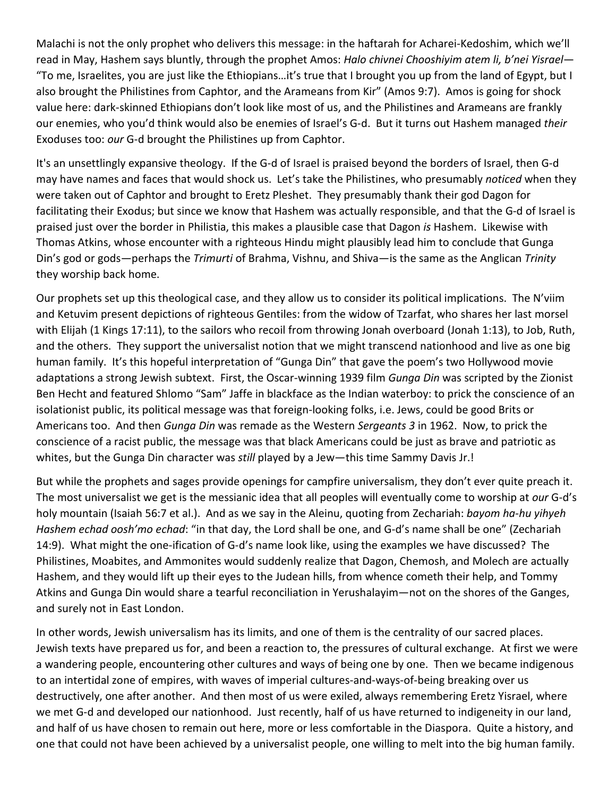Malachi is not the only prophet who delivers this message: in the haftarah for Acharei-Kedoshim, which we'll read in May, Hashem says bluntly, through the prophet Amos: *Halo chivnei Chooshiyim atem li, b'nei Yisrael*— "To me, Israelites, you are just like the Ethiopians…it's true that I brought you up from the land of Egypt, but I also brought the Philistines from Caphtor, and the Arameans from Kir" (Amos 9:7). Amos is going for shock value here: dark-skinned Ethiopians don't look like most of us, and the Philistines and Arameans are frankly our enemies, who you'd think would also be enemies of Israel's G-d. But it turns out Hashem managed *their* Exoduses too: *our* G-d brought the Philistines up from Caphtor.

It's an unsettlingly expansive theology. If the G-d of Israel is praised beyond the borders of Israel, then G-d may have names and faces that would shock us. Let's take the Philistines, who presumably *noticed* when they were taken out of Caphtor and brought to Eretz Pleshet. They presumably thank their god Dagon for facilitating their Exodus; but since we know that Hashem was actually responsible, and that the G-d of Israel is praised just over the border in Philistia, this makes a plausible case that Dagon *is* Hashem. Likewise with Thomas Atkins, whose encounter with a righteous Hindu might plausibly lead him to conclude that Gunga Din's god or gods—perhaps the *Trimurti* of Brahma, Vishnu, and Shiva—is the same as the Anglican *Trinity* they worship back home.

Our prophets set up this theological case, and they allow us to consider its political implications. The N'viim and Ketuvim present depictions of righteous Gentiles: from the widow of Tzarfat, who shares her last morsel with Elijah (1 Kings 17:11), to the sailors who recoil from throwing Jonah overboard (Jonah 1:13), to Job, Ruth, and the others. They support the universalist notion that we might transcend nationhood and live as one big human family. It's this hopeful interpretation of "Gunga Din" that gave the poem's two Hollywood movie adaptations a strong Jewish subtext. First, the Oscar-winning 1939 film *Gunga Din* was scripted by the Zionist Ben Hecht and featured Shlomo "Sam" Jaffe in blackface as the Indian waterboy: to prick the conscience of an isolationist public, its political message was that foreign-looking folks, i.e. Jews, could be good Brits or Americans too. And then *Gunga Din* was remade as the Western *Sergeants 3* in 1962. Now, to prick the conscience of a racist public, the message was that black Americans could be just as brave and patriotic as whites, but the Gunga Din character was *still* played by a Jew—this time Sammy Davis Jr.!

But while the prophets and sages provide openings for campfire universalism, they don't ever quite preach it. The most universalist we get is the messianic idea that all peoples will eventually come to worship at *our* G-d's holy mountain (Isaiah 56:7 et al.). And as we say in the Aleinu, quoting from Zechariah: *bayom ha-hu yihyeh Hashem echad oosh'mo echad*: "in that day, the Lord shall be one, and G-d's name shall be one" (Zechariah 14:9). What might the one-ification of G-d's name look like, using the examples we have discussed? The Philistines, Moabites, and Ammonites would suddenly realize that Dagon, Chemosh, and Molech are actually Hashem, and they would lift up their eyes to the Judean hills, from whence cometh their help, and Tommy Atkins and Gunga Din would share a tearful reconciliation in Yerushalayim—not on the shores of the Ganges, and surely not in East London.

In other words, Jewish universalism has its limits, and one of them is the centrality of our sacred places. Jewish texts have prepared us for, and been a reaction to, the pressures of cultural exchange. At first we were a wandering people, encountering other cultures and ways of being one by one. Then we became indigenous to an intertidal zone of empires, with waves of imperial cultures-and-ways-of-being breaking over us destructively, one after another. And then most of us were exiled, always remembering Eretz Yisrael, where we met G-d and developed our nationhood. Just recently, half of us have returned to indigeneity in our land, and half of us have chosen to remain out here, more or less comfortable in the Diaspora. Quite a history, and one that could not have been achieved by a universalist people, one willing to melt into the big human family.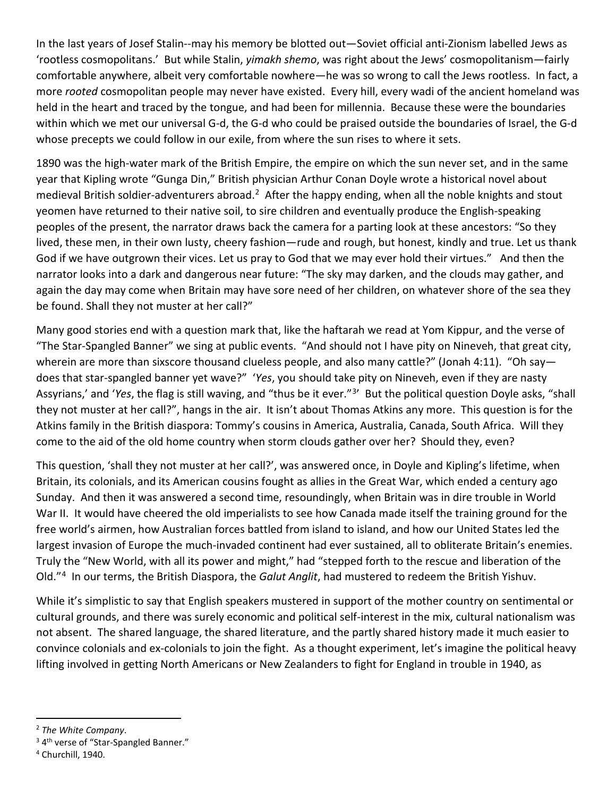In the last years of Josef Stalin--may his memory be blotted out—Soviet official anti-Zionism labelled Jews as 'rootless cosmopolitans.' But while Stalin, *yimakh shemo*, was right about the Jews' cosmopolitanism—fairly comfortable anywhere, albeit very comfortable nowhere—he was so wrong to call the Jews rootless. In fact, a more *rooted* cosmopolitan people may never have existed. Every hill, every wadi of the ancient homeland was held in the heart and traced by the tongue, and had been for millennia. Because these were the boundaries within which we met our universal G-d, the G-d who could be praised outside the boundaries of Israel, the G-d whose precepts we could follow in our exile, from where the sun rises to where it sets.

1890 was the high-water mark of the British Empire, the empire on which the sun never set, and in the same year that Kipling wrote "Gunga Din," British physician Arthur Conan Doyle wrote a historical novel about medieval British soldier-adventurers abroad.<sup>2</sup> After the happy ending, when all the noble knights and stout yeomen have returned to their native soil, to sire children and eventually produce the English-speaking peoples of the present, the narrator draws back the camera for a parting look at these ancestors: "So they lived, these men, in their own lusty, cheery fashion—rude and rough, but honest, kindly and true. Let us thank God if we have outgrown their vices. Let us pray to God that we may ever hold their virtues." And then the narrator looks into a dark and dangerous near future: "The sky may darken, and the clouds may gather, and again the day may come when Britain may have sore need of her children, on whatever shore of the sea they be found. Shall they not muster at her call?"

Many good stories end with a question mark that, like the haftarah we read at Yom Kippur, and the verse of "The Star-Spangled Banner" we sing at public events. "And should not I have pity on Nineveh, that great city, wherein are more than sixscore thousand clueless people, and also many cattle?" (Jonah 4:11). "Oh say does that star-spangled banner yet wave?" '*Yes*, you should take pity on Nineveh, even if they are nasty Assyrians,' and '*Yes*, the flag is still waving, and "thus be it ever."[3](#page-2-1)' But the political question Doyle asks, "shall they not muster at her call?", hangs in the air. It isn't about Thomas Atkins any more. This question is for the Atkins family in the British diaspora: Tommy's cousins in America, Australia, Canada, South Africa. Will they come to the aid of the old home country when storm clouds gather over her? Should they, even?

This question, 'shall they not muster at her call?', was answered once, in Doyle and Kipling's lifetime, when Britain, its colonials, and its American cousins fought as allies in the Great War, which ended a century ago Sunday. And then it was answered a second time, resoundingly, when Britain was in dire trouble in World War II. It would have cheered the old imperialists to see how Canada made itself the training ground for the free world's airmen, how Australian forces battled from island to island, and how our United States led the largest invasion of Europe the much-invaded continent had ever sustained, all to obliterate Britain's enemies. Truly the "New World, with all its power and might," had "stepped forth to the rescue and liberation of the Old."[4](#page-2-2) In our terms, the British Diaspora, the *Galut Anglit*, had mustered to redeem the British Yishuv.

While it's simplistic to say that English speakers mustered in support of the mother country on sentimental or cultural grounds, and there was surely economic and political self-interest in the mix, cultural nationalism was not absent. The shared language, the shared literature, and the partly shared history made it much easier to convince colonials and ex-colonials to join the fight. As a thought experiment, let's imagine the political heavy lifting involved in getting North Americans or New Zealanders to fight for England in trouble in 1940, as

<span id="page-2-0"></span> <sup>2</sup> *The White Company*.

<span id="page-2-1"></span><sup>&</sup>lt;sup>3</sup> 4<sup>th</sup> verse of "Star-Spangled Banner."

<span id="page-2-2"></span> $4$  Churchill, 1940.